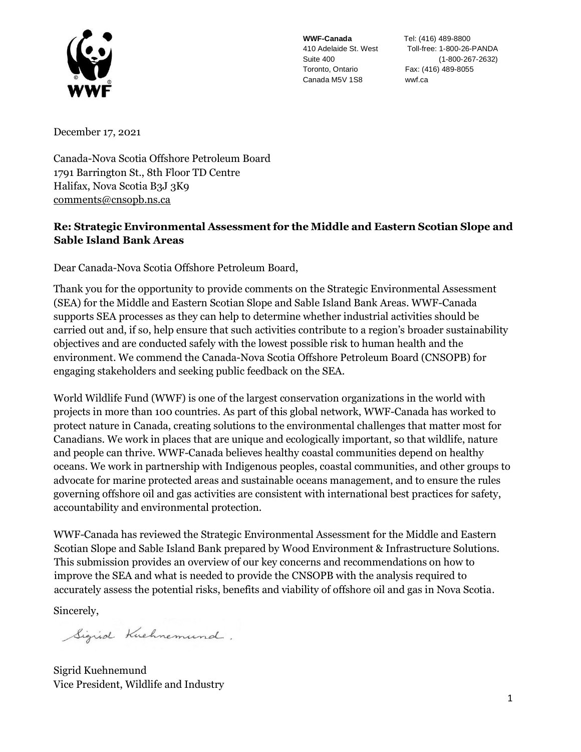

**WWF-Canada** Tel: (416) 489-8800 Toronto, Ontario Fax: (416) 489-8055 Canada M5V 1S8 wwf.ca

410 Adelaide St. West Toll-free: 1-800-26-PANDA Suite 400 (1-800-267-2632)

December 17, 2021

Canada-Nova Scotia Offshore Petroleum Board 1791 Barrington St., 8th Floor TD Centre Halifax, Nova Scotia B3J 3K9 [comments@cnsopb.ns.ca](mailto:comments@cnsopb.ns.ca)

## **Re: Strategic Environmental Assessment for the Middle and Eastern Scotian Slope and Sable Island Bank Areas**

Dear Canada-Nova Scotia Offshore Petroleum Board,

Thank you for the opportunity to provide comments on the Strategic Environmental Assessment (SEA) for the Middle and Eastern Scotian Slope and Sable Island Bank Areas. WWF-Canada supports SEA processes as they can help to determine whether industrial activities should be carried out and, if so, help ensure that such activities contribute to a region's broader sustainability objectives and are conducted safely with the lowest possible risk to human health and the environment. We commend the Canada-Nova Scotia Offshore Petroleum Board (CNSOPB) for engaging stakeholders and seeking public feedback on the SEA.

World Wildlife Fund (WWF) is one of the largest conservation organizations in the world with projects in more than 100 countries. As part of this global network, WWF-Canada has worked to protect nature in Canada, creating solutions to the environmental challenges that matter most for Canadians. We work in places that are unique and ecologically important, so that wildlife, nature and people can thrive. WWF-Canada believes healthy coastal communities depend on healthy oceans. We work in partnership with Indigenous peoples, coastal communities, and other groups to advocate for marine protected areas and sustainable oceans management, and to ensure the rules governing offshore oil and gas activities are consistent with international best practices for safety, accountability and environmental protection.

WWF-Canada has reviewed the Strategic Environmental Assessment for the Middle and Eastern Scotian Slope and Sable Island Bank prepared by Wood Environment & Infrastructure Solutions. This submission provides an overview of our key concerns and recommendations on how to improve the SEA and what is needed to provide the CNSOPB with the analysis required to accurately assess the potential risks, benefits and viability of offshore oil and gas in Nova Scotia.

Sincerely,

Sigrid Kuchnemund.

Sigrid Kuehnemund Vice President, Wildlife and Industry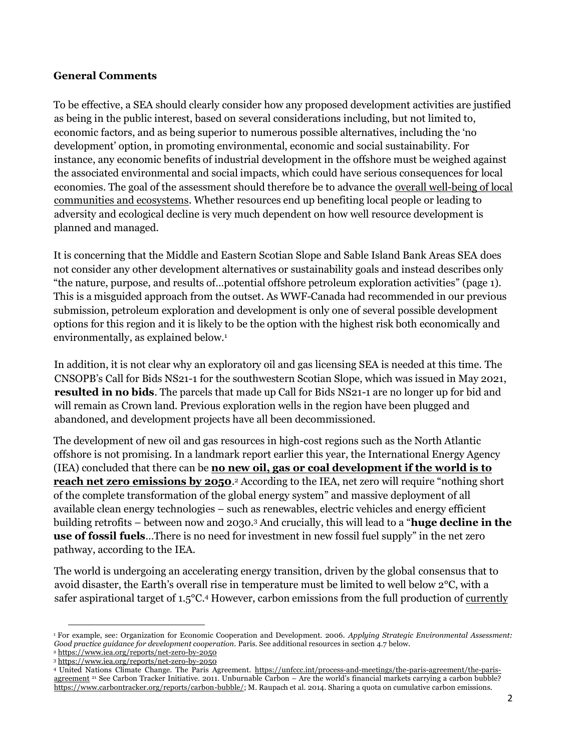## **General Comments**

To be effective, a SEA should clearly consider how any proposed development activities are justified as being in the public interest, based on several considerations including, but not limited to, economic factors, and as being superior to numerous possible alternatives, including the 'no development' option, in promoting environmental, economic and social sustainability. For instance, any economic benefits of industrial development in the offshore must be weighed against the associated environmental and social impacts, which could have serious consequences for local economies. The goal of the assessment should therefore be to advance the overall well-being of local communities and ecosystems. Whether resources end up benefiting local people or leading to adversity and ecological decline is very much dependent on how well resource development is planned and managed.

It is concerning that the Middle and Eastern Scotian Slope and Sable Island Bank Areas SEA does not consider any other development alternatives or sustainability goals and instead describes only "the nature, purpose, and results of…potential offshore petroleum exploration activities" (page 1). This is a misguided approach from the outset. As WWF-Canada had recommended in our previous submission, petroleum exploration and development is only one of several possible development options for this region and it is likely to be the option with the highest risk both economically and environmentally, as explained below.<sup>1</sup>

In addition, it is not clear why an exploratory oil and gas licensing SEA is needed at this time. The CNSOPB's Call for Bids NS21-1 for the southwestern Scotian Slope, which was issued in May 2021, **resulted in no bids**. The parcels that made up Call for Bids NS21-1 are no longer up for bid and will remain as Crown land. Previous exploration wells in the region have been plugged and abandoned, and development projects have all been decommissioned.

The development of new oil and gas resources in high-cost regions such as the North Atlantic offshore is not promising. In a landmark report earlier this year, the International Energy Agency (IEA) concluded that there can be **no new oil, gas or coal development if the world is to reach net zero emissions by 2050**.<sup>2</sup> According to the IEA, net zero will require "nothing short of the complete transformation of the global energy system" and massive deployment of all available clean energy technologies – such as renewables, electric vehicles and energy efficient building retrofits – between now and 2030.<sup>3</sup> And crucially, this will lead to a "**huge decline in the use of fossil fuels**…There is no need for investment in new fossil fuel supply" in the net zero pathway, according to the IEA.

The world is undergoing an accelerating energy transition, driven by the global consensus that to avoid disaster, the Earth's overall rise in temperature must be limited to well below 2°C, with a safer aspirational target of 1.5°C.<sup>4</sup> However, carbon emissions from the full production of currently

<sup>1</sup> For example, see: Organization for Economic Cooperation and Development. 2006. *Applying Strategic Environmental Assessment: Good practice guidance for development cooperation.* Paris. See additional resources in section 4.7 below.

<sup>2</sup> <https://www.iea.org/reports/net-zero-by-2050>

<sup>3</sup> <https://www.iea.org/reports/net-zero-by-2050>

<sup>4</sup> United Nations Climate Change. The Paris Agreemen[t. https://unfccc.int/process-and-meetings/the-paris-agreement/the-paris](https://unfccc.int/process-and-meetings/the-paris-agreement/the-paris-agreement)[agreement](https://unfccc.int/process-and-meetings/the-paris-agreement/the-paris-agreement) <sup>21</sup> See Carbon Tracker Initiative. 2011. Unburnable Carbon – Are the world's financial markets carrying a carbon bubble? [https://www.carbontracker.org/reports/carbon-bubble/; M](https://www.carbontracker.org/reports/carbon-bubble/). Raupach et al. 2014. Sharing a quota on cumulative carbon emissions.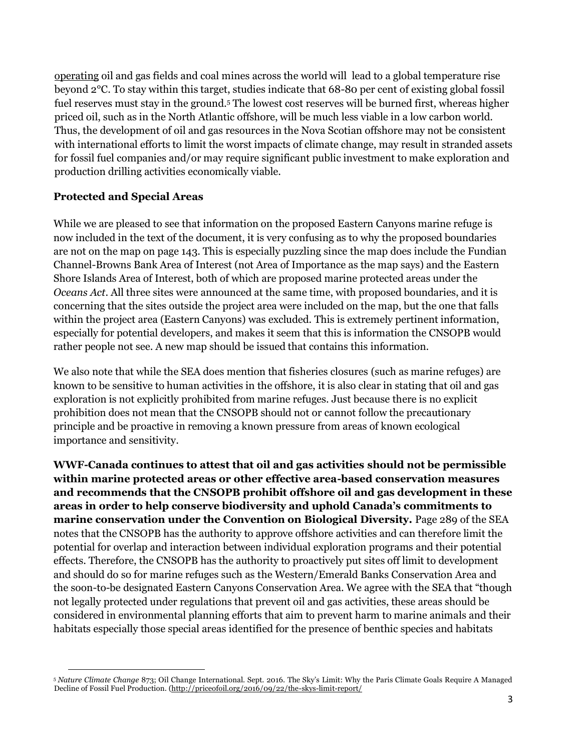operating oil and gas fields and coal mines across the world will lead to a global temperature rise beyond 2°C. To stay within this target, studies indicate that 68-80 per cent of existing global fossil fuel reserves must stay in the ground.<sup>5</sup> The lowest cost reserves will be burned first, whereas higher priced oil, such as in the North Atlantic offshore, will be much less viable in a low carbon world. Thus, the development of oil and gas resources in the Nova Scotian offshore may not be consistent with international efforts to limit the worst impacts of climate change, may result in stranded assets for fossil fuel companies and/or may require significant public investment to make exploration and production drilling activities economically viable.

## **Protected and Special Areas**

While we are pleased to see that information on the proposed Eastern Canyons marine refuge is now included in the text of the document, it is very confusing as to why the proposed boundaries are not on the map on page 143. This is especially puzzling since the map does include the Fundian Channel-Browns Bank Area of Interest (not Area of Importance as the map says) and the Eastern Shore Islands Area of Interest, both of which are proposed marine protected areas under the *Oceans Act*. All three sites were announced at the same time, with proposed boundaries, and it is concerning that the sites outside the project area were included on the map, but the one that falls within the project area (Eastern Canyons) was excluded. This is extremely pertinent information, especially for potential developers, and makes it seem that this is information the CNSOPB would rather people not see. A new map should be issued that contains this information.

We also note that while the SEA does mention that fisheries closures (such as marine refuges) are known to be sensitive to human activities in the offshore, it is also clear in stating that oil and gas exploration is not explicitly prohibited from marine refuges. Just because there is no explicit prohibition does not mean that the CNSOPB should not or cannot follow the precautionary principle and be proactive in removing a known pressure from areas of known ecological importance and sensitivity.

**WWF-Canada continues to attest that oil and gas activities should not be permissible within marine protected areas or other effective area-based conservation measures and recommends that the CNSOPB prohibit offshore oil and gas development in these areas in order to help conserve biodiversity and uphold Canada's commitments to marine conservation under the Convention on Biological Diversity.** Page 289 of the SEA notes that the CNSOPB has the authority to approve offshore activities and can therefore limit the potential for overlap and interaction between individual exploration programs and their potential effects. Therefore, the CNSOPB has the authority to proactively put sites off limit to development and should do so for marine refuges such as the Western/Emerald Banks Conservation Area and the soon-to-be designated Eastern Canyons Conservation Area. We agree with the SEA that "though not legally protected under regulations that prevent oil and gas activities, these areas should be considered in environmental planning efforts that aim to prevent harm to marine animals and their habitats especially those special areas identified for the presence of benthic species and habitats

<sup>5</sup> *Nature Climate Change* 873; Oil Change International. Sept. 2016. The Sky's Limit: Why the Paris Climate Goals Require A Managed Decline of Fossil Fuel Production. [\(http://priceofoil.org/2016/09/22/the-skys-limit-report/](http://priceofoil.org/2016/09/22/the-skys-limit-report/)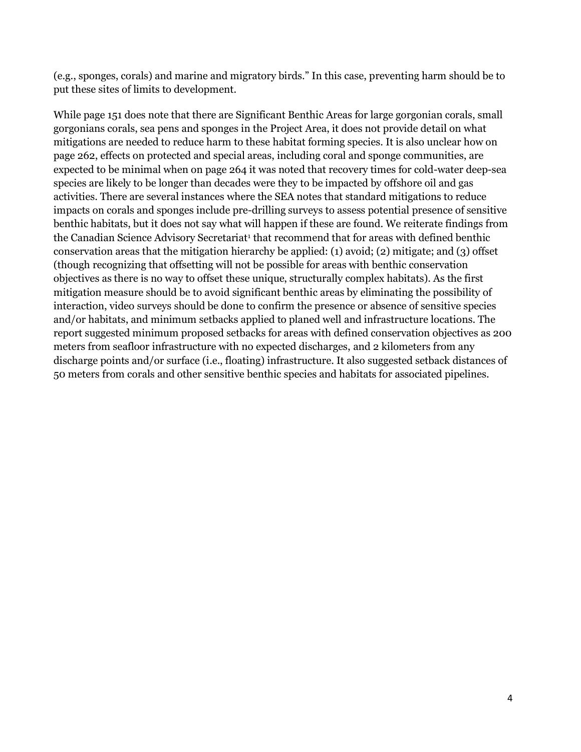(e.g., sponges, corals) and marine and migratory birds." In this case, preventing harm should be to put these sites of limits to development.

While page 151 does note that there are Significant Benthic Areas for large gorgonian corals, small gorgonians corals, sea pens and sponges in the Project Area, it does not provide detail on what mitigations are needed to reduce harm to these habitat forming species. It is also unclear how on page 262, effects on protected and special areas, including coral and sponge communities, are expected to be minimal when on page 264 it was noted that recovery times for cold-water deep-sea species are likely to be longer than decades were they to be impacted by offshore oil and gas activities. There are several instances where the SEA notes that standard mitigations to reduce impacts on corals and sponges include pre-drilling surveys to assess potential presence of sensitive benthic habitats, but it does not say what will happen if these are found. We reiterate findings from the Canadian Science Advisory Secretariat<sup>1</sup> that recommend that for areas with defined benthic conservation areas that the mitigation hierarchy be applied: (1) avoid; (2) mitigate; and (3) offset (though recognizing that offsetting will not be possible for areas with benthic conservation objectives as there is no way to offset these unique, structurally complex habitats). As the first mitigation measure should be to avoid significant benthic areas by eliminating the possibility of interaction, video surveys should be done to confirm the presence or absence of sensitive species and/or habitats, and minimum setbacks applied to planed well and infrastructure locations. The report suggested minimum proposed setbacks for areas with defined conservation objectives as 200 meters from seafloor infrastructure with no expected discharges, and 2 kilometers from any discharge points and/or surface (i.e., floating) infrastructure. It also suggested setback distances of 50 meters from corals and other sensitive benthic species and habitats for associated pipelines.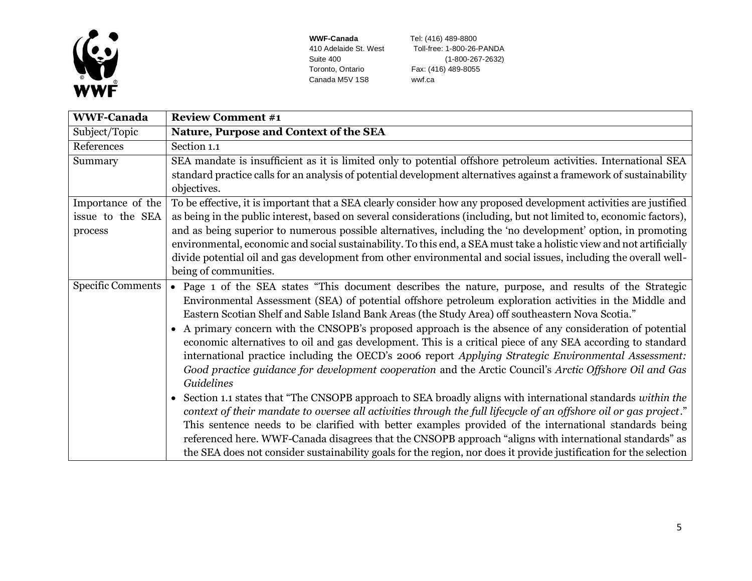

Canada M5V 1S8 wwf.ca

**WWF-Canada Tel:** (416) 489-8800<br>410 Adelaide St. West **Toll-free:** 1-800-26-8 Toll-free: 1-800-26-PANDA Suite 400 (1-800-267-2632)<br>Toronto, Ontario Fax: (416) 489-8055 Fax: (416) 489-8055

| <b>WWF-Canada</b>        | <b>Review Comment #1</b>                                                                                             |
|--------------------------|----------------------------------------------------------------------------------------------------------------------|
| Subject/Topic            | Nature, Purpose and Context of the SEA                                                                               |
| References               | Section 1.1                                                                                                          |
| Summary                  | SEA mandate is insufficient as it is limited only to potential offshore petroleum activities. International SEA      |
|                          | standard practice calls for an analysis of potential development alternatives against a framework of sustainability  |
|                          | objectives.                                                                                                          |
| Importance of the        | To be effective, it is important that a SEA clearly consider how any proposed development activities are justified   |
| issue to the SEA         | as being in the public interest, based on several considerations (including, but not limited to, economic factors),  |
| process                  | and as being superior to numerous possible alternatives, including the 'no development' option, in promoting         |
|                          | environmental, economic and social sustainability. To this end, a SEA must take a holistic view and not artificially |
|                          | divide potential oil and gas development from other environmental and social issues, including the overall well-     |
|                          | being of communities.                                                                                                |
| <b>Specific Comments</b> | • Page 1 of the SEA states "This document describes the nature, purpose, and results of the Strategic                |
|                          | Environmental Assessment (SEA) of potential offshore petroleum exploration activities in the Middle and              |
|                          | Eastern Scotian Shelf and Sable Island Bank Areas (the Study Area) off southeastern Nova Scotia."                    |
|                          | A primary concern with the CNSOPB's proposed approach is the absence of any consideration of potential               |
|                          | economic alternatives to oil and gas development. This is a critical piece of any SEA according to standard          |
|                          | international practice including the OECD's 2006 report Applying Strategic Environmental Assessment:                 |
|                          | Good practice guidance for development cooperation and the Arctic Council's Arctic Offshore Oil and Gas              |
|                          | Guidelines                                                                                                           |
|                          | • Section 1.1 states that "The CNSOPB approach to SEA broadly aligns with international standards within the         |
|                          | context of their mandate to oversee all activities through the full lifecycle of an offshore oil or gas project."    |
|                          | This sentence needs to be clarified with better examples provided of the international standards being               |
|                          | referenced here. WWF-Canada disagrees that the CNSOPB approach "aligns with international standards" as              |
|                          | the SEA does not consider sustainability goals for the region, nor does it provide justification for the selection   |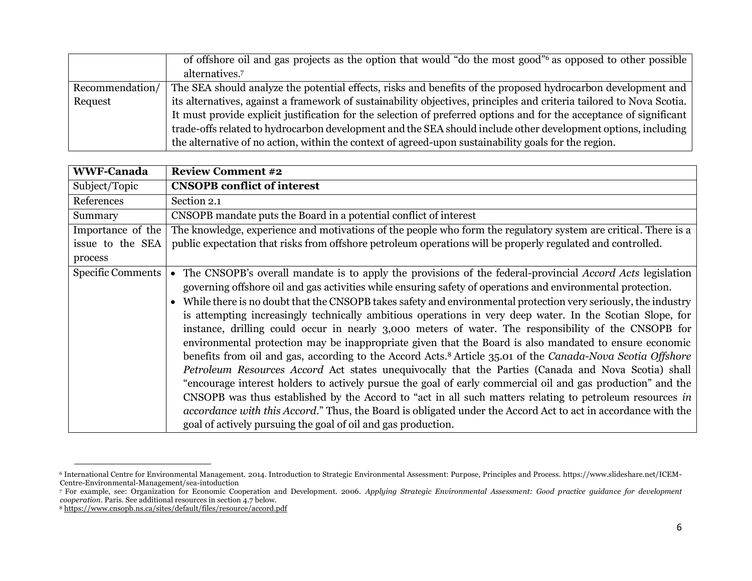|                 | of offshore oil and gas projects as the option that would "do the most good" <sup>6</sup> as opposed to other possible |
|-----------------|------------------------------------------------------------------------------------------------------------------------|
|                 | alternatives. <sup>7</sup>                                                                                             |
| Recommendation/ | The SEA should analyze the potential effects, risks and benefits of the proposed hydrocarbon development and           |
| Request         | its alternatives, against a framework of sustainability objectives, principles and criteria tailored to Nova Scotia.   |
|                 | It must provide explicit justification for the selection of preferred options and for the acceptance of significant    |
|                 | trade-offs related to hydrocarbon development and the SEA should include other development options, including          |
|                 | the alternative of no action, within the context of agreed-upon sustainability goals for the region.                   |

| <b>WWF-Canada</b>        | <b>Review Comment #2</b>                                                                                                                                                                                                                                                                                                                                                                                                                                                                                                                                                                                                                                                                                                                                                                                                                                                                                                                                                                                                                                                                                                                                                                                                                                                                                                |
|--------------------------|-------------------------------------------------------------------------------------------------------------------------------------------------------------------------------------------------------------------------------------------------------------------------------------------------------------------------------------------------------------------------------------------------------------------------------------------------------------------------------------------------------------------------------------------------------------------------------------------------------------------------------------------------------------------------------------------------------------------------------------------------------------------------------------------------------------------------------------------------------------------------------------------------------------------------------------------------------------------------------------------------------------------------------------------------------------------------------------------------------------------------------------------------------------------------------------------------------------------------------------------------------------------------------------------------------------------------|
| Subject/Topic            | <b>CNSOPB</b> conflict of interest                                                                                                                                                                                                                                                                                                                                                                                                                                                                                                                                                                                                                                                                                                                                                                                                                                                                                                                                                                                                                                                                                                                                                                                                                                                                                      |
| References               | Section 2.1                                                                                                                                                                                                                                                                                                                                                                                                                                                                                                                                                                                                                                                                                                                                                                                                                                                                                                                                                                                                                                                                                                                                                                                                                                                                                                             |
| Summary                  | CNSOPB mandate puts the Board in a potential conflict of interest                                                                                                                                                                                                                                                                                                                                                                                                                                                                                                                                                                                                                                                                                                                                                                                                                                                                                                                                                                                                                                                                                                                                                                                                                                                       |
| Importance of the        | The knowledge, experience and motivations of the people who form the regulatory system are critical. There is a                                                                                                                                                                                                                                                                                                                                                                                                                                                                                                                                                                                                                                                                                                                                                                                                                                                                                                                                                                                                                                                                                                                                                                                                         |
| issue to the SEA         | public expectation that risks from offshore petroleum operations will be properly regulated and controlled.                                                                                                                                                                                                                                                                                                                                                                                                                                                                                                                                                                                                                                                                                                                                                                                                                                                                                                                                                                                                                                                                                                                                                                                                             |
| process                  |                                                                                                                                                                                                                                                                                                                                                                                                                                                                                                                                                                                                                                                                                                                                                                                                                                                                                                                                                                                                                                                                                                                                                                                                                                                                                                                         |
| <b>Specific Comments</b> | The CNSOPB's overall mandate is to apply the provisions of the federal-provincial Accord Acts legislation<br>governing offshore oil and gas activities while ensuring safety of operations and environmental protection.<br>While there is no doubt that the CNSOPB takes safety and environmental protection very seriously, the industry<br>is attempting increasingly technically ambitious operations in very deep water. In the Scotian Slope, for<br>instance, drilling could occur in nearly 3,000 meters of water. The responsibility of the CNSOPB for<br>environmental protection may be inappropriate given that the Board is also mandated to ensure economic<br>benefits from oil and gas, according to the Accord Acts. <sup>8</sup> Article 35.01 of the Canada-Nova Scotia Offshore<br>Petroleum Resources Accord Act states unequivocally that the Parties (Canada and Nova Scotia) shall<br>"encourage interest holders to actively pursue the goal of early commercial oil and gas production" and the<br>CNSOPB was thus established by the Accord to "act in all such matters relating to petroleum resources in<br>accordance with this Accord." Thus, the Board is obligated under the Accord Act to act in accordance with the<br>goal of actively pursuing the goal of oil and gas production. |

<sup>6</sup> International Centre for Environmental Management. 2014. Introduction to Strategic Environmental Assessment: Purpose, Principles and Process. https://www.slideshare.net/ICEM-Centre-Environmental-Management/sea-intoduction

<sup>7</sup> For example, see: Organization for Economic Cooperation and Development. 2006. *Applying Strategic Environmental Assessment: Good practice guidance for development cooperation.* Paris. See additional resources in section 4.7 below.

<sup>8</sup> <https://www.cnsopb.ns.ca/sites/default/files/resource/accord.pdf>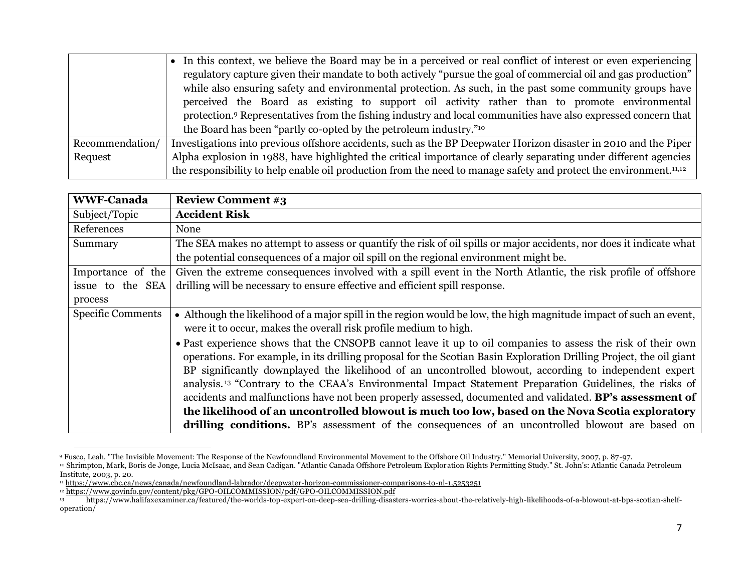|                 | • In this context, we believe the Board may be in a perceived or real conflict of interest or even experiencing               |
|-----------------|-------------------------------------------------------------------------------------------------------------------------------|
|                 | regulatory capture given their mandate to both actively "pursue the goal of commercial oil and gas production"                |
|                 | while also ensuring safety and environmental protection. As such, in the past some community groups have                      |
|                 | perceived the Board as existing to support oil activity rather than to promote environmental                                  |
|                 | protection. <sup>9</sup> Representatives from the fishing industry and local communities have also expressed concern that     |
|                 | the Board has been "partly co-opted by the petroleum industry." <sup>10</sup>                                                 |
| Recommendation/ | Investigations into previous offshore accidents, such as the BP Deepwater Horizon disaster in 2010 and the Piper              |
| Request         | Alpha explosion in 1988, have highlighted the critical importance of clearly separating under different agencies              |
|                 | the responsibility to help enable oil production from the need to manage safety and protect the environment. <sup>11,12</sup> |

| <b>WWF-Canada</b>        | <b>Review Comment #3</b>                                                                                                                                                                                                                                                                                                                                                                                                                                                                                                                                                                                                                                                                                                                                                               |
|--------------------------|----------------------------------------------------------------------------------------------------------------------------------------------------------------------------------------------------------------------------------------------------------------------------------------------------------------------------------------------------------------------------------------------------------------------------------------------------------------------------------------------------------------------------------------------------------------------------------------------------------------------------------------------------------------------------------------------------------------------------------------------------------------------------------------|
| Subject/Topic            | <b>Accident Risk</b>                                                                                                                                                                                                                                                                                                                                                                                                                                                                                                                                                                                                                                                                                                                                                                   |
| References               | None                                                                                                                                                                                                                                                                                                                                                                                                                                                                                                                                                                                                                                                                                                                                                                                   |
| Summary                  | The SEA makes no attempt to assess or quantify the risk of oil spills or major accidents, nor does it indicate what                                                                                                                                                                                                                                                                                                                                                                                                                                                                                                                                                                                                                                                                    |
|                          | the potential consequences of a major oil spill on the regional environment might be.                                                                                                                                                                                                                                                                                                                                                                                                                                                                                                                                                                                                                                                                                                  |
| Importance of the        | Given the extreme consequences involved with a spill event in the North Atlantic, the risk profile of offshore                                                                                                                                                                                                                                                                                                                                                                                                                                                                                                                                                                                                                                                                         |
| issue to the SEA         | drilling will be necessary to ensure effective and efficient spill response.                                                                                                                                                                                                                                                                                                                                                                                                                                                                                                                                                                                                                                                                                                           |
| process                  |                                                                                                                                                                                                                                                                                                                                                                                                                                                                                                                                                                                                                                                                                                                                                                                        |
| <b>Specific Comments</b> | • Although the likelihood of a major spill in the region would be low, the high magnitude impact of such an event,<br>were it to occur, makes the overall risk profile medium to high.                                                                                                                                                                                                                                                                                                                                                                                                                                                                                                                                                                                                 |
|                          | • Past experience shows that the CNSOPB cannot leave it up to oil companies to assess the risk of their own<br>operations. For example, in its drilling proposal for the Scotian Basin Exploration Drilling Project, the oil giant<br>BP significantly downplayed the likelihood of an uncontrolled blowout, according to independent expert<br>analysis. <sup>13</sup> "Contrary to the CEAA's Environmental Impact Statement Preparation Guidelines, the risks of<br>accidents and malfunctions have not been properly assessed, documented and validated. BP's assessment of<br>the likelihood of an uncontrolled blowout is much too low, based on the Nova Scotia exploratory<br>drilling conditions. BP's assessment of the consequences of an uncontrolled blowout are based on |

<sup>9</sup> Fusco, Leah. "The Invisible Movement: The Response of the Newfoundland Environmental Movement to the Offshore Oil Industry." Memorial University, 2007, p. 87-97.

<sup>10</sup> Shrimpton, Mark, Boris de Jonge, Lucia McIsaac, and Sean Cadigan. "Atlantic Canada Offshore Petroleum Exploration Rights Permitting Study." St. John's: Atlantic Canada Petroleum Institute, 2003, p. 20.

<sup>11</sup> <https://www.cbc.ca/news/canada/newfoundland-labrador/deepwater-horizon-commissioner-comparisons-to-nl-1.5253251>

<sup>12</sup> <https://www.govinfo.gov/content/pkg/GPO-OILCOMMISSION/pdf/GPO-OILCOMMISSION.pdf>

<sup>13</sup> https://www.halifaxexaminer.ca/featured/the-worlds-top-expert-on-deep-sea-drilling-disasters-worries-about-the-relatively-high-likelihoods-of-a-blowout-at-bps-scotian-shelfoperation/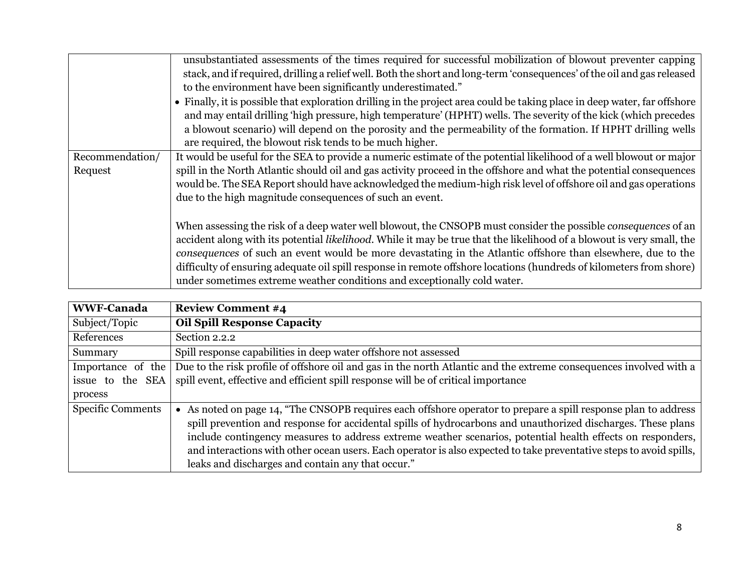|                 | unsubstantiated assessments of the times required for successful mobilization of blowout preventer capping<br>stack, and if required, drilling a relief well. Both the short and long-term 'consequences' of the oil and gas released<br>to the environment have been significantly underestimated."                                                                                                                      |
|-----------------|---------------------------------------------------------------------------------------------------------------------------------------------------------------------------------------------------------------------------------------------------------------------------------------------------------------------------------------------------------------------------------------------------------------------------|
|                 | • Finally, it is possible that exploration drilling in the project area could be taking place in deep water, far offshore<br>and may entail drilling 'high pressure, high temperature' (HPHT) wells. The severity of the kick (which precedes<br>a blowout scenario) will depend on the porosity and the permeability of the formation. If HPHT drilling wells<br>are required, the blowout risk tends to be much higher. |
| Recommendation/ | It would be useful for the SEA to provide a numeric estimate of the potential likelihood of a well blowout or major                                                                                                                                                                                                                                                                                                       |
| Request         | spill in the North Atlantic should oil and gas activity proceed in the offshore and what the potential consequences                                                                                                                                                                                                                                                                                                       |
|                 | would be. The SEA Report should have acknowledged the medium-high risk level of offshore oil and gas operations                                                                                                                                                                                                                                                                                                           |
|                 | due to the high magnitude consequences of such an event.                                                                                                                                                                                                                                                                                                                                                                  |
|                 | When assessing the risk of a deep water well blowout, the CNSOPB must consider the possible <i>consequences</i> of an<br>accident along with its potential likelihood. While it may be true that the likelihood of a blowout is very small, the<br>consequences of such an event would be more devastating in the Atlantic offshore than elsewhere, due to the                                                            |
|                 | difficulty of ensuring adequate oil spill response in remote offshore locations (hundreds of kilometers from shore)                                                                                                                                                                                                                                                                                                       |
|                 | under sometimes extreme weather conditions and exceptionally cold water.                                                                                                                                                                                                                                                                                                                                                  |

| <b>WWF-Canada</b>        | <b>Review Comment #4</b>                                                                                                                                                                                                                                                                                                                                                                                                                                                                                                 |
|--------------------------|--------------------------------------------------------------------------------------------------------------------------------------------------------------------------------------------------------------------------------------------------------------------------------------------------------------------------------------------------------------------------------------------------------------------------------------------------------------------------------------------------------------------------|
| Subject/Topic            | <b>Oil Spill Response Capacity</b>                                                                                                                                                                                                                                                                                                                                                                                                                                                                                       |
| References               | Section 2.2.2                                                                                                                                                                                                                                                                                                                                                                                                                                                                                                            |
| Summary                  | Spill response capabilities in deep water offshore not assessed                                                                                                                                                                                                                                                                                                                                                                                                                                                          |
| Importance of the        | Due to the risk profile of offshore oil and gas in the north Atlantic and the extreme consequences involved with a                                                                                                                                                                                                                                                                                                                                                                                                       |
| issue to the SEA         | spill event, effective and efficient spill response will be of critical importance                                                                                                                                                                                                                                                                                                                                                                                                                                       |
| process                  |                                                                                                                                                                                                                                                                                                                                                                                                                                                                                                                          |
| <b>Specific Comments</b> | • As noted on page 14, "The CNSOPB requires each offshore operator to prepare a spill response plan to address<br>spill prevention and response for accidental spills of hydrocarbons and unauthorized discharges. These plans<br>include contingency measures to address extreme weather scenarios, potential health effects on responders,<br>and interactions with other ocean users. Each operator is also expected to take preventative steps to avoid spills,<br>leaks and discharges and contain any that occur." |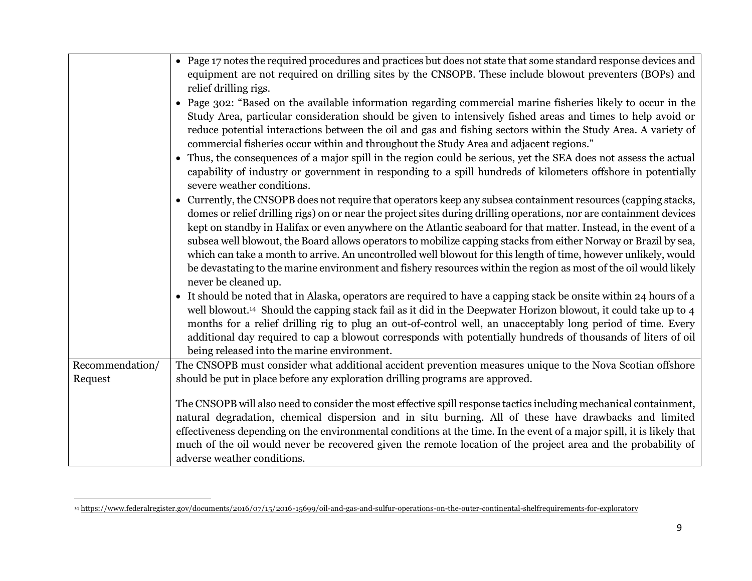|                 | • Page 17 notes the required procedures and practices but does not state that some standard response devices and<br>equipment are not required on drilling sites by the CNSOPB. These include blowout preventers (BOPs) and<br>relief drilling rigs.                                                                                                                                                                                                                                                                                                                                                                                                                                                                                                                                                                                                                                                                                                                                             |
|-----------------|--------------------------------------------------------------------------------------------------------------------------------------------------------------------------------------------------------------------------------------------------------------------------------------------------------------------------------------------------------------------------------------------------------------------------------------------------------------------------------------------------------------------------------------------------------------------------------------------------------------------------------------------------------------------------------------------------------------------------------------------------------------------------------------------------------------------------------------------------------------------------------------------------------------------------------------------------------------------------------------------------|
|                 | • Page 302: "Based on the available information regarding commercial marine fisheries likely to occur in the<br>Study Area, particular consideration should be given to intensively fished areas and times to help avoid or<br>reduce potential interactions between the oil and gas and fishing sectors within the Study Area. A variety of<br>commercial fisheries occur within and throughout the Study Area and adjacent regions."                                                                                                                                                                                                                                                                                                                                                                                                                                                                                                                                                           |
|                 | • Thus, the consequences of a major spill in the region could be serious, yet the SEA does not assess the actual<br>capability of industry or government in responding to a spill hundreds of kilometers offshore in potentially<br>severe weather conditions.                                                                                                                                                                                                                                                                                                                                                                                                                                                                                                                                                                                                                                                                                                                                   |
|                 | • Currently, the CNSOPB does not require that operators keep any subsea containment resources (capping stacks,<br>domes or relief drilling rigs) on or near the project sites during drilling operations, nor are containment devices<br>kept on standby in Halifax or even anywhere on the Atlantic seaboard for that matter. Instead, in the event of a<br>subsea well blowout, the Board allows operators to mobilize capping stacks from either Norway or Brazil by sea,<br>which can take a month to arrive. An uncontrolled well blowout for this length of time, however unlikely, would<br>be devastating to the marine environment and fishery resources within the region as most of the oil would likely<br>never be cleaned up.<br>• It should be noted that in Alaska, operators are required to have a capping stack be onsite within 24 hours of a<br>well blowout. <sup>14</sup> Should the capping stack fail as it did in the Deepwater Horizon blowout, it could take up to 4 |
|                 | months for a relief drilling rig to plug an out-of-control well, an unacceptably long period of time. Every<br>additional day required to cap a blowout corresponds with potentially hundreds of thousands of liters of oil<br>being released into the marine environment.                                                                                                                                                                                                                                                                                                                                                                                                                                                                                                                                                                                                                                                                                                                       |
| Recommendation/ | The CNSOPB must consider what additional accident prevention measures unique to the Nova Scotian offshore                                                                                                                                                                                                                                                                                                                                                                                                                                                                                                                                                                                                                                                                                                                                                                                                                                                                                        |
| Request         | should be put in place before any exploration drilling programs are approved.                                                                                                                                                                                                                                                                                                                                                                                                                                                                                                                                                                                                                                                                                                                                                                                                                                                                                                                    |
|                 | The CNSOPB will also need to consider the most effective spill response tactics including mechanical containment,<br>natural degradation, chemical dispersion and in situ burning. All of these have drawbacks and limited<br>effectiveness depending on the environmental conditions at the time. In the event of a major spill, it is likely that<br>much of the oil would never be recovered given the remote location of the project area and the probability of<br>adverse weather conditions.                                                                                                                                                                                                                                                                                                                                                                                                                                                                                              |

<sup>&</sup>lt;sup>14</sup> https://www.federalregister.gov/documents/2016/07/15/2016-15699/oil-and-gas-and-sulfur-operations-on-the-outer-continental-shelfrequirements-for-exploratory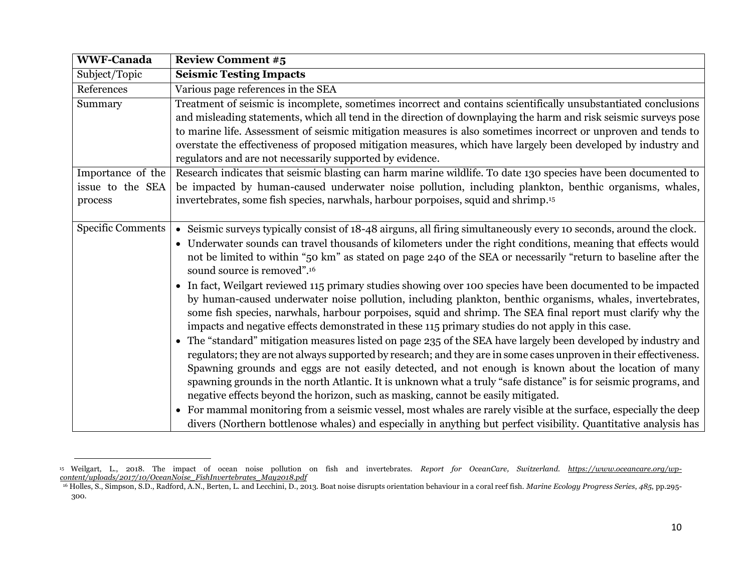| <b>WWF-Canada</b>                                | <b>Review Comment #5</b>                                                                                                                                                                                                                                                                                                                                                                                                                                                                                                                                                                                                                                                                                                                                                                                                                                                                                                                                                                                                                                                                                                                                                                                                                                                                                                                                                                                                                                                                                                                                                                                                                              |
|--------------------------------------------------|-------------------------------------------------------------------------------------------------------------------------------------------------------------------------------------------------------------------------------------------------------------------------------------------------------------------------------------------------------------------------------------------------------------------------------------------------------------------------------------------------------------------------------------------------------------------------------------------------------------------------------------------------------------------------------------------------------------------------------------------------------------------------------------------------------------------------------------------------------------------------------------------------------------------------------------------------------------------------------------------------------------------------------------------------------------------------------------------------------------------------------------------------------------------------------------------------------------------------------------------------------------------------------------------------------------------------------------------------------------------------------------------------------------------------------------------------------------------------------------------------------------------------------------------------------------------------------------------------------------------------------------------------------|
| Subject/Topic                                    | <b>Seismic Testing Impacts</b>                                                                                                                                                                                                                                                                                                                                                                                                                                                                                                                                                                                                                                                                                                                                                                                                                                                                                                                                                                                                                                                                                                                                                                                                                                                                                                                                                                                                                                                                                                                                                                                                                        |
| References                                       | Various page references in the SEA                                                                                                                                                                                                                                                                                                                                                                                                                                                                                                                                                                                                                                                                                                                                                                                                                                                                                                                                                                                                                                                                                                                                                                                                                                                                                                                                                                                                                                                                                                                                                                                                                    |
| Summary                                          | Treatment of seismic is incomplete, sometimes incorrect and contains scientifically unsubstantiated conclusions<br>and misleading statements, which all tend in the direction of downplaying the harm and risk seismic surveys pose<br>to marine life. Assessment of seismic mitigation measures is also sometimes incorrect or unproven and tends to<br>overstate the effectiveness of proposed mitigation measures, which have largely been developed by industry and<br>regulators and are not necessarily supported by evidence.                                                                                                                                                                                                                                                                                                                                                                                                                                                                                                                                                                                                                                                                                                                                                                                                                                                                                                                                                                                                                                                                                                                  |
| Importance of the<br>issue to the SEA<br>process | Research indicates that seismic blasting can harm marine wildlife. To date 130 species have been documented to<br>be impacted by human-caused underwater noise pollution, including plankton, benthic organisms, whales,<br>invertebrates, some fish species, narwhals, harbour porpoises, squid and shrimp. <sup>15</sup>                                                                                                                                                                                                                                                                                                                                                                                                                                                                                                                                                                                                                                                                                                                                                                                                                                                                                                                                                                                                                                                                                                                                                                                                                                                                                                                            |
| Specific Comments                                | • Seismic surveys typically consist of 18-48 airguns, all firing simultaneously every 10 seconds, around the clock.<br>• Underwater sounds can travel thousands of kilometers under the right conditions, meaning that effects would<br>not be limited to within "50 km" as stated on page 240 of the SEA or necessarily "return to baseline after the<br>sound source is removed". <sup>16</sup><br>• In fact, Weilgart reviewed 115 primary studies showing over 100 species have been documented to be impacted<br>by human-caused underwater noise pollution, including plankton, benthic organisms, whales, invertebrates,<br>some fish species, narwhals, harbour porpoises, squid and shrimp. The SEA final report must clarify why the<br>impacts and negative effects demonstrated in these 115 primary studies do not apply in this case.<br>• The "standard" mitigation measures listed on page 235 of the SEA have largely been developed by industry and<br>regulators; they are not always supported by research; and they are in some cases unproven in their effectiveness.<br>Spawning grounds and eggs are not easily detected, and not enough is known about the location of many<br>spawning grounds in the north Atlantic. It is unknown what a truly "safe distance" is for seismic programs, and<br>negative effects beyond the horizon, such as masking, cannot be easily mitigated.<br>• For mammal monitoring from a seismic vessel, most whales are rarely visible at the surface, especially the deep<br>divers (Northern bottlenose whales) and especially in anything but perfect visibility. Quantitative analysis has |

<sup>15</sup> Weilgart, L., 2018. The impact of ocean noise pollution on fish and invertebrates. *Report for OceanCare, Switzerland. [https://www.oceancare.org/wp](https://www.oceancare.org/wp-content/uploads/2017/10/OceanNoise_FishInvertebrates_May2018.pdf)[content/uploads/2017/10/OceanNoise\\_FishInvertebrates\\_May2018.pdf](https://www.oceancare.org/wp-content/uploads/2017/10/OceanNoise_FishInvertebrates_May2018.pdf)*

<sup>16</sup> Holles, S., Simpson, S.D., Radford, A.N., Berten, L. and Lecchini, D., 2013. Boat noise disrupts orientation behaviour in a coral reef fish. *Marine Ecology Progress Series*, *485*, pp.295- 300.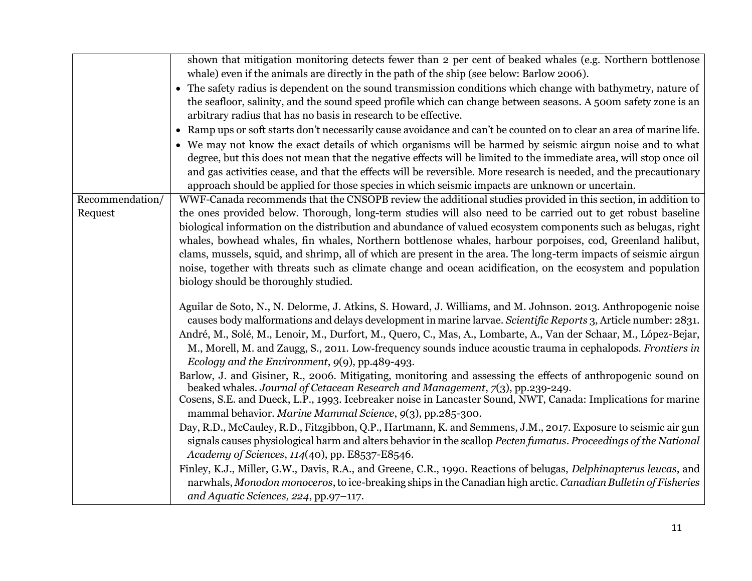|                 | shown that mitigation monitoring detects fewer than 2 per cent of beaked whales (e.g. Northern bottlenose            |
|-----------------|----------------------------------------------------------------------------------------------------------------------|
|                 | whale) even if the animals are directly in the path of the ship (see below: Barlow 2006).                            |
|                 | • The safety radius is dependent on the sound transmission conditions which change with bathymetry, nature of        |
|                 | the seafloor, salinity, and the sound speed profile which can change between seasons. A 500m safety zone is an       |
|                 | arbitrary radius that has no basis in research to be effective.                                                      |
|                 | • Ramp ups or soft starts don't necessarily cause avoidance and can't be counted on to clear an area of marine life. |
|                 | • We may not know the exact details of which organisms will be harmed by seismic airgun noise and to what            |
|                 | degree, but this does not mean that the negative effects will be limited to the immediate area, will stop once oil   |
|                 | and gas activities cease, and that the effects will be reversible. More research is needed, and the precautionary    |
|                 | approach should be applied for those species in which seismic impacts are unknown or uncertain.                      |
| Recommendation/ | WWF-Canada recommends that the CNSOPB review the additional studies provided in this section, in addition to         |
| Request         | the ones provided below. Thorough, long-term studies will also need to be carried out to get robust baseline         |
|                 | biological information on the distribution and abundance of valued ecosystem components such as belugas, right       |
|                 | whales, bowhead whales, fin whales, Northern bottlenose whales, harbour porpoises, cod, Greenland halibut,           |
|                 | clams, mussels, squid, and shrimp, all of which are present in the area. The long-term impacts of seismic airgun     |
|                 | noise, together with threats such as climate change and ocean acidification, on the ecosystem and population         |
|                 | biology should be thoroughly studied.                                                                                |
|                 | Aguilar de Soto, N., N. Delorme, J. Atkins, S. Howard, J. Williams, and M. Johnson. 2013. Anthropogenic noise        |
|                 | causes body malformations and delays development in marine larvae. Scientific Reports 3, Article number: 2831.       |
|                 | André, M., Solé, M., Lenoir, M., Durfort, M., Quero, C., Mas, A., Lombarte, A., Van der Schaar, M., López-Bejar,     |
|                 | M., Morell, M. and Zaugg, S., 2011. Low-frequency sounds induce acoustic trauma in cephalopods. Frontiers in         |
|                 | Ecology and the Environment, 9(9), pp.489-493.                                                                       |
|                 | Barlow, J. and Gisiner, R., 2006. Mitigating, monitoring and assessing the effects of anthropogenic sound on         |
|                 | beaked whales. Journal of Cetacean Research and Management, 7(3), pp.239-249.                                        |
|                 | Cosens, S.E. and Dueck, L.P., 1993. Icebreaker noise in Lancaster Sound, NWT, Canada: Implications for marine        |
|                 | mammal behavior. Marine Mammal Science, 9(3), pp.285-300.                                                            |
|                 | Day, R.D., McCauley, R.D., Fitzgibbon, Q.P., Hartmann, K. and Semmens, J.M., 2017. Exposure to seismic air gun       |
|                 | signals causes physiological harm and alters behavior in the scallop Pecten fumatus. Proceedings of the National     |
|                 | Academy of Sciences, 114(40), pp. E8537-E8546.                                                                       |
|                 | Finley, K.J., Miller, G.W., Davis, R.A., and Greene, C.R., 1990. Reactions of belugas, Delphinapterus leucas, and    |
|                 | narwhals, Monodon monoceros, to ice-breaking ships in the Canadian high arctic. Canadian Bulletin of Fisheries       |
|                 | and Aquatic Sciences, 224, pp.97-117.                                                                                |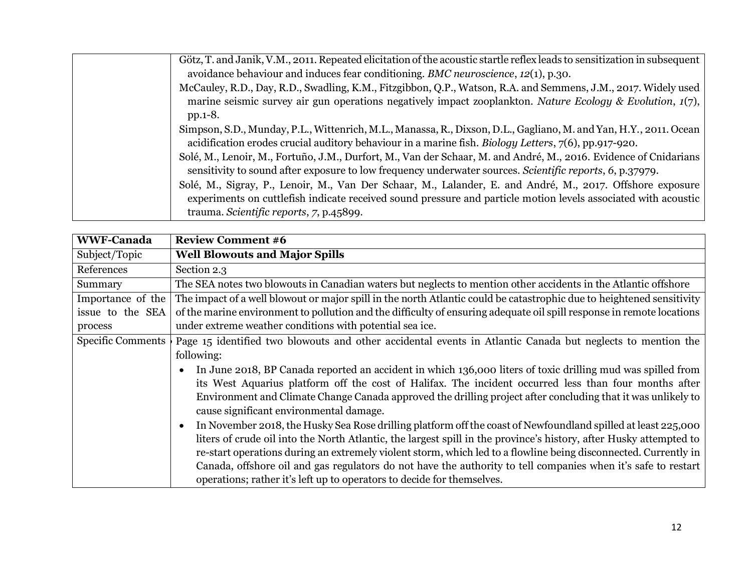| Götz, T. and Janik, V.M., 2011. Repeated elicitation of the acoustic startle reflex leads to sensitization in subsequent                                                                                                    |
|-----------------------------------------------------------------------------------------------------------------------------------------------------------------------------------------------------------------------------|
| avoidance behaviour and induces fear conditioning. BMC neuroscience, 12(1), p.30.                                                                                                                                           |
| McCauley, R.D., Day, R.D., Swadling, K.M., Fitzgibbon, Q.P., Watson, R.A. and Semmens, J.M., 2017. Widely used<br>marine seismic survey air gun operations negatively impact zooplankton. Nature Ecology & Evolution, 1(7), |
| $pp.1-8.$                                                                                                                                                                                                                   |
| Simpson, S.D., Munday, P.L., Wittenrich, M.L., Manassa, R., Dixson, D.L., Gagliano, M. and Yan, H.Y., 2011. Ocean                                                                                                           |
| acidification erodes crucial auditory behaviour in a marine fish. Biology Letters, 7(6), pp.917-920.                                                                                                                        |
| Solé, M., Lenoir, M., Fortuño, J.M., Durfort, M., Van der Schaar, M. and André, M., 2016. Evidence of Cnidarians                                                                                                            |
| sensitivity to sound after exposure to low frequency underwater sources. Scientific reports, 6, p.37979.                                                                                                                    |
| Solé, M., Sigray, P., Lenoir, M., Van Der Schaar, M., Lalander, E. and André, M., 2017. Offshore exposure                                                                                                                   |
| experiments on cuttlefish indicate received sound pressure and particle motion levels associated with acoustic                                                                                                              |
| trauma. Scientific reports, 7, p.45899.                                                                                                                                                                                     |

| <b>WWF-Canada</b>        | <b>Review Comment #6</b>                                                                                              |
|--------------------------|-----------------------------------------------------------------------------------------------------------------------|
| Subject/Topic            | <b>Well Blowouts and Major Spills</b>                                                                                 |
| References               | Section 2.3                                                                                                           |
| Summary                  | The SEA notes two blowouts in Canadian waters but neglects to mention other accidents in the Atlantic offshore        |
| Importance of the        | The impact of a well blowout or major spill in the north Atlantic could be catastrophic due to heightened sensitivity |
| issue to the SEA         | of the marine environment to pollution and the difficulty of ensuring adequate oil spill response in remote locations |
| process                  | under extreme weather conditions with potential sea ice.                                                              |
| <b>Specific Comments</b> | Page 15 identified two blowouts and other accidental events in Atlantic Canada but neglects to mention the            |
|                          | following:                                                                                                            |
|                          | In June 2018, BP Canada reported an accident in which 136,000 liters of toxic drilling mud was spilled from           |
|                          | its West Aquarius platform off the cost of Halifax. The incident occurred less than four months after                 |
|                          | Environment and Climate Change Canada approved the drilling project after concluding that it was unlikely to          |
|                          | cause significant environmental damage.                                                                               |
|                          | In November 2018, the Husky Sea Rose drilling platform off the coast of Newfoundland spilled at least 225,000         |
|                          | liters of crude oil into the North Atlantic, the largest spill in the province's history, after Husky attempted to    |
|                          | re-start operations during an extremely violent storm, which led to a flowline being disconnected. Currently in       |
|                          | Canada, offshore oil and gas regulators do not have the authority to tell companies when it's safe to restart         |
|                          | operations; rather it's left up to operators to decide for themselves.                                                |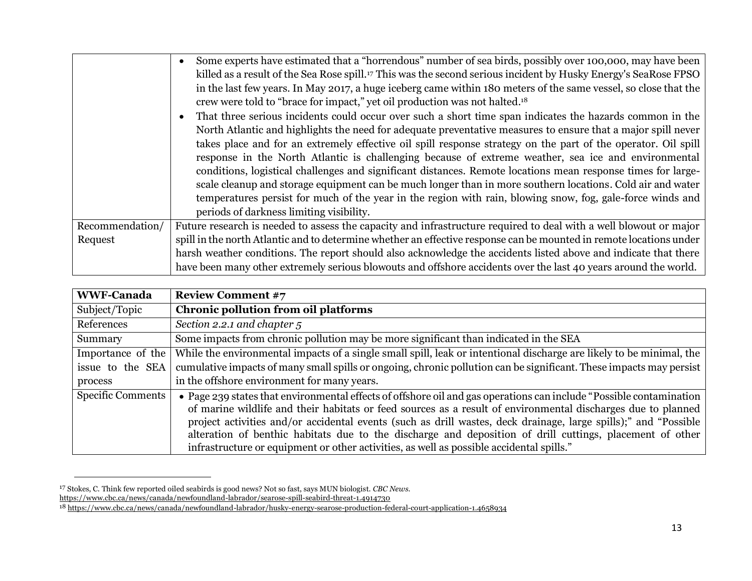|                 | Some experts have estimated that a "horrendous" number of sea birds, possibly over 100,000, may have been                   |
|-----------------|-----------------------------------------------------------------------------------------------------------------------------|
|                 | killed as a result of the Sea Rose spill. <sup>17</sup> This was the second serious incident by Husky Energy's SeaRose FPSO |
|                 | in the last few years. In May 2017, a huge iceberg came within 180 meters of the same vessel, so close that the             |
|                 | crew were told to "brace for impact," yet oil production was not halted. <sup>18</sup>                                      |
|                 | That three serious incidents could occur over such a short time span indicates the hazards common in the                    |
|                 | North Atlantic and highlights the need for adequate preventative measures to ensure that a major spill never                |
|                 | takes place and for an extremely effective oil spill response strategy on the part of the operator. Oil spill               |
|                 | response in the North Atlantic is challenging because of extreme weather, sea ice and environmental                         |
|                 | conditions, logistical challenges and significant distances. Remote locations mean response times for large-                |
|                 | scale cleanup and storage equipment can be much longer than in more southern locations. Cold air and water                  |
|                 | temperatures persist for much of the year in the region with rain, blowing snow, fog, gale-force winds and                  |
|                 | periods of darkness limiting visibility.                                                                                    |
| Recommendation/ | Future research is needed to assess the capacity and infrastructure required to deal with a well blowout or major           |
| Request         | spill in the north Atlantic and to determine whether an effective response can be mounted in remote locations under         |
|                 | harsh weather conditions. The report should also acknowledge the accidents listed above and indicate that there             |
|                 | have been many other extremely serious blowouts and offshore accidents over the last 40 years around the world.             |

| <b>WWF-Canada</b>        | <b>Review Comment #7</b>                                                                                                                                                                                                                                                                                                                                                                                                                                                                                                                                       |
|--------------------------|----------------------------------------------------------------------------------------------------------------------------------------------------------------------------------------------------------------------------------------------------------------------------------------------------------------------------------------------------------------------------------------------------------------------------------------------------------------------------------------------------------------------------------------------------------------|
| Subject/Topic            | <b>Chronic pollution from oil platforms</b>                                                                                                                                                                                                                                                                                                                                                                                                                                                                                                                    |
| References               | Section 2.2.1 and chapter 5                                                                                                                                                                                                                                                                                                                                                                                                                                                                                                                                    |
| Summary                  | Some impacts from chronic pollution may be more significant than indicated in the SEA                                                                                                                                                                                                                                                                                                                                                                                                                                                                          |
| Importance of the        | While the environmental impacts of a single small spill, leak or intentional discharge are likely to be minimal, the                                                                                                                                                                                                                                                                                                                                                                                                                                           |
| issue to the SEA         | cumulative impacts of many small spills or ongoing, chronic pollution can be significant. These impacts may persist                                                                                                                                                                                                                                                                                                                                                                                                                                            |
| process                  | in the offshore environment for many years.                                                                                                                                                                                                                                                                                                                                                                                                                                                                                                                    |
| <b>Specific Comments</b> | • Page 239 states that environmental effects of offshore oil and gas operations can include "Possible contamination<br>of marine wildlife and their habitats or feed sources as a result of environmental discharges due to planned<br>project activities and/or accidental events (such as drill wastes, deck drainage, large spills);" and "Possible<br>alteration of benthic habitats due to the discharge and deposition of drill cuttings, placement of other<br>infrastructure or equipment or other activities, as well as possible accidental spills." |

<sup>17</sup> Stokes, C. Think few reported oiled seabirds is good news? Not so fast, says MUN biologist. *CBC News.*

<https://www.cbc.ca/news/canada/newfoundland-labrador/searose-spill-seabird-threat-1.4914730>

<sup>18</sup> <https://www.cbc.ca/news/canada/newfoundland-labrador/husky-energy-searose-production-federal-court-application-1.4658934>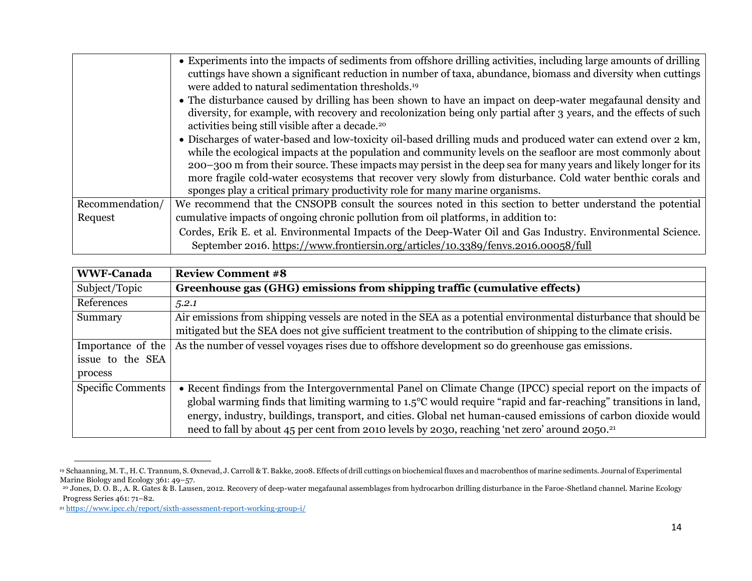|                 | • Experiments into the impacts of sediments from offshore drilling activities, including large amounts of drilling |
|-----------------|--------------------------------------------------------------------------------------------------------------------|
|                 | cuttings have shown a significant reduction in number of taxa, abundance, biomass and diversity when cuttings      |
|                 | were added to natural sedimentation thresholds. <sup>19</sup>                                                      |
|                 | • The disturbance caused by drilling has been shown to have an impact on deep-water megafaunal density and         |
|                 | diversity, for example, with recovery and recolonization being only partial after 3 years, and the effects of such |
|                 | activities being still visible after a decade. <sup>20</sup>                                                       |
|                 | • Discharges of water-based and low-toxicity oil-based drilling muds and produced water can extend over 2 km,      |
|                 | while the ecological impacts at the population and community levels on the seafloor are most commonly about        |
|                 | 200–300 m from their source. These impacts may persist in the deep sea for many years and likely longer for its    |
|                 | more fragile cold-water ecosystems that recover very slowly from disturbance. Cold water benthic corals and        |
|                 | sponges play a critical primary productivity role for many marine organisms.                                       |
| Recommendation/ | We recommend that the CNSOPB consult the sources noted in this section to better understand the potential          |
| Request         | cumulative impacts of ongoing chronic pollution from oil platforms, in addition to:                                |
|                 | Cordes, Erik E. et al. Environmental Impacts of the Deep-Water Oil and Gas Industry. Environmental Science.        |
|                 | September 2016. https://www.frontiersin.org/articles/10.3389/fenvs.2016.00058/full                                 |

| <b>WWF-Canada</b>        | <b>Review Comment #8</b>                                                                                                  |
|--------------------------|---------------------------------------------------------------------------------------------------------------------------|
| Subject/Topic            | Greenhouse gas (GHG) emissions from shipping traffic (cumulative effects)                                                 |
| References               | 5.2.1                                                                                                                     |
| Summary                  | Air emissions from shipping vessels are noted in the SEA as a potential environmental disturbance that should be          |
|                          | mitigated but the SEA does not give sufficient treatment to the contribution of shipping to the climate crisis.           |
| Importance of the        | As the number of vessel voyages rises due to offshore development so do greenhouse gas emissions.                         |
| issue to the SEA         |                                                                                                                           |
| process                  |                                                                                                                           |
| <b>Specific Comments</b> | • Recent findings from the Intergovernmental Panel on Climate Change (IPCC) special report on the impacts of              |
|                          | global warming finds that limiting warming to $1.5^{\circ}$ C would require "rapid and far-reaching" transitions in land, |
|                          | energy, industry, buildings, transport, and cities. Global net human-caused emissions of carbon dioxide would             |
|                          | need to fall by about 45 per cent from 2010 levels by 2030, reaching 'net zero' around 2050. <sup>21</sup>                |

<sup>19</sup> Schaanning, M. T., H. C. Trannum, S. Øxnevad, J. Carroll & T. Bakke, 2008. Effects of drill cuttings on biochemical fluxes and macrobenthos of marine sediments. Journal of Experimental Marine Biology and Ecology 361: 49–57.

<sup>&</sup>lt;sup>20</sup> Jones, D. O. B., A. R. Gates & B. Lausen, 2012. Recovery of deep-water megafaunal assemblages from hydrocarbon drilling disturbance in the Faroe-Shetland channel. Marine Ecology Progress Series 461: 71–82.

<sup>21</sup> <https://www.ipcc.ch/report/sixth-assessment-report-working-group-i/>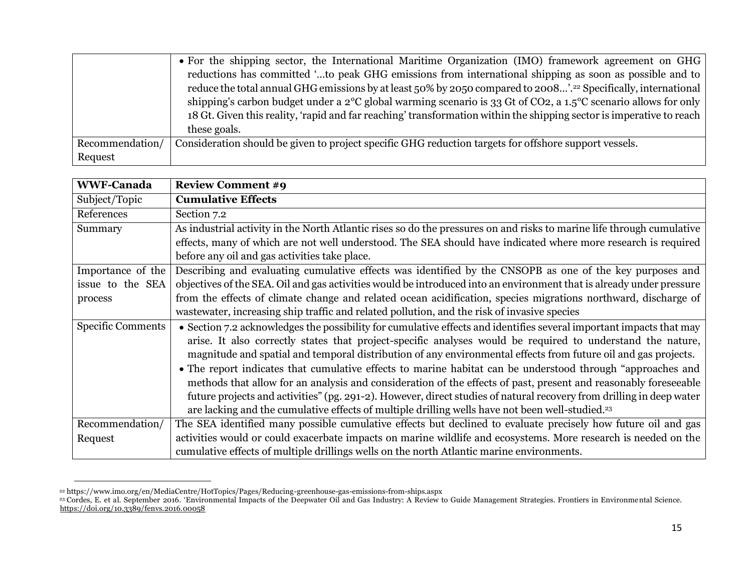|                 | • For the shipping sector, the International Maritime Organization (IMO) framework agreement on GHG                                      |
|-----------------|------------------------------------------------------------------------------------------------------------------------------------------|
|                 | reductions has committed "to peak GHG emissions from international shipping as soon as possible and to                                   |
|                 | reduce the total annual GHG emissions by at least 50% by 2050 compared to 2008'. <sup>22</sup> Specifically, international               |
|                 | shipping's carbon budget under a 2 <sup>o</sup> C global warming scenario is 33 Gt of CO2, a 1.5 <sup>o</sup> C scenario allows for only |
|                 | 18 Gt. Given this reality, 'rapid and far reaching' transformation within the shipping sector is imperative to reach                     |
|                 | these goals.                                                                                                                             |
| Recommendation/ | Consideration should be given to project specific GHG reduction targets for offshore support vessels.                                    |
| Request         |                                                                                                                                          |

| <b>WWF-Canada</b>        | <b>Review Comment #9</b>                                                                                              |
|--------------------------|-----------------------------------------------------------------------------------------------------------------------|
| Subject/Topic            | <b>Cumulative Effects</b>                                                                                             |
| References               | Section 7.2                                                                                                           |
| Summary                  | As industrial activity in the North Atlantic rises so do the pressures on and risks to marine life through cumulative |
|                          | effects, many of which are not well understood. The SEA should have indicated where more research is required         |
|                          | before any oil and gas activities take place.                                                                         |
| Importance of the        | Describing and evaluating cumulative effects was identified by the CNSOPB as one of the key purposes and              |
| issue to the SEA         | objectives of the SEA. Oil and gas activities would be introduced into an environment that is already under pressure  |
| process                  | from the effects of climate change and related ocean acidification, species migrations northward, discharge of        |
|                          | wastewater, increasing ship traffic and related pollution, and the risk of invasive species                           |
| <b>Specific Comments</b> | • Section 7.2 acknowledges the possibility for cumulative effects and identifies several important impacts that may   |
|                          | arise. It also correctly states that project-specific analyses would be required to understand the nature,            |
|                          | magnitude and spatial and temporal distribution of any environmental effects from future oil and gas projects.        |
|                          | • The report indicates that cumulative effects to marine habitat can be understood through "approaches and            |
|                          | methods that allow for an analysis and consideration of the effects of past, present and reasonably foreseeable       |
|                          | future projects and activities" (pg. 291-2). However, direct studies of natural recovery from drilling in deep water  |
|                          | are lacking and the cumulative effects of multiple drilling wells have not been well-studied. <sup>23</sup>           |
| Recommendation/          | The SEA identified many possible cumulative effects but declined to evaluate precisely how future oil and gas         |
| Request                  | activities would or could exacerbate impacts on marine wildlife and ecosystems. More research is needed on the        |
|                          | cumulative effects of multiple drillings wells on the north Atlantic marine environments.                             |

<sup>22</sup> https://www.imo.org/en/MediaCentre/HotTopics/Pages/Reducing-greenhouse-gas-emissions-from-ships.aspx

<sup>&</sup>lt;sup>23</sup> Cordes, E. et al. September 2016. 'Environmental Impacts of the Deepwater Oil and Gas Industry: A Review to Guide Management Strategies. Frontiers in Environmental Science. <https://doi.org/10.3389/fenvs.2016.00058>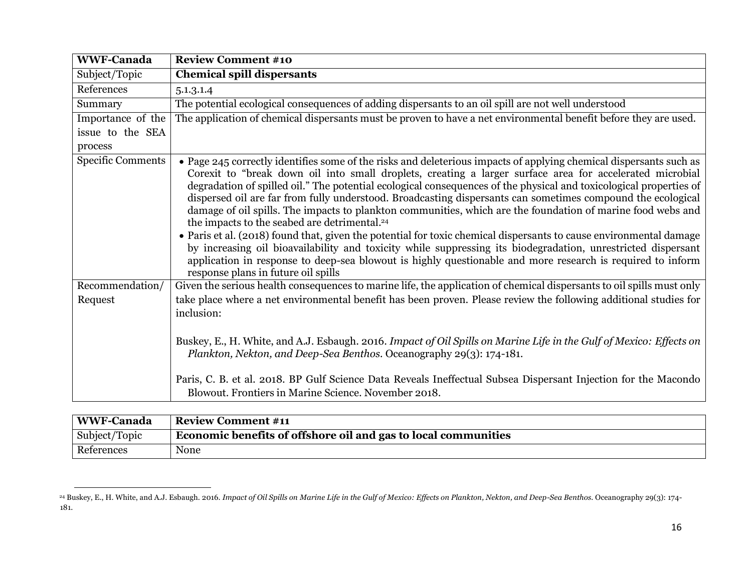| <b>WWF-Canada</b>        | <b>Review Comment #10</b>                                                                                                                                                                                                                                                                                                                                                                                                                                                                                                                                                                                                                                                                                                                                                                                                                                                                                                                                                                                                                 |
|--------------------------|-------------------------------------------------------------------------------------------------------------------------------------------------------------------------------------------------------------------------------------------------------------------------------------------------------------------------------------------------------------------------------------------------------------------------------------------------------------------------------------------------------------------------------------------------------------------------------------------------------------------------------------------------------------------------------------------------------------------------------------------------------------------------------------------------------------------------------------------------------------------------------------------------------------------------------------------------------------------------------------------------------------------------------------------|
| Subject/Topic            | <b>Chemical spill dispersants</b>                                                                                                                                                                                                                                                                                                                                                                                                                                                                                                                                                                                                                                                                                                                                                                                                                                                                                                                                                                                                         |
| References               | 5.1.3.1.4                                                                                                                                                                                                                                                                                                                                                                                                                                                                                                                                                                                                                                                                                                                                                                                                                                                                                                                                                                                                                                 |
| Summary                  | The potential ecological consequences of adding dispersants to an oil spill are not well understood                                                                                                                                                                                                                                                                                                                                                                                                                                                                                                                                                                                                                                                                                                                                                                                                                                                                                                                                       |
| Importance of the        | The application of chemical dispersants must be proven to have a net environmental benefit before they are used.                                                                                                                                                                                                                                                                                                                                                                                                                                                                                                                                                                                                                                                                                                                                                                                                                                                                                                                          |
| issue to the SEA         |                                                                                                                                                                                                                                                                                                                                                                                                                                                                                                                                                                                                                                                                                                                                                                                                                                                                                                                                                                                                                                           |
| process                  |                                                                                                                                                                                                                                                                                                                                                                                                                                                                                                                                                                                                                                                                                                                                                                                                                                                                                                                                                                                                                                           |
| <b>Specific Comments</b> | • Page 245 correctly identifies some of the risks and deleterious impacts of applying chemical dispersants such as<br>Corexit to "break down oil into small droplets, creating a larger surface area for accelerated microbial<br>degradation of spilled oil." The potential ecological consequences of the physical and toxicological properties of<br>dispersed oil are far from fully understood. Broadcasting dispersants can sometimes compound the ecological<br>damage of oil spills. The impacts to plankton communities, which are the foundation of marine food webs and<br>the impacts to the seabed are detrimental. <sup>24</sup><br>• Paris et al. (2018) found that, given the potential for toxic chemical dispersants to cause environmental damage<br>by increasing oil bioavailability and toxicity while suppressing its biodegradation, unrestricted dispersant<br>application in response to deep-sea blowout is highly questionable and more research is required to inform<br>response plans in future oil spills |
| Recommendation/          | Given the serious health consequences to marine life, the application of chemical dispersants to oil spills must only                                                                                                                                                                                                                                                                                                                                                                                                                                                                                                                                                                                                                                                                                                                                                                                                                                                                                                                     |
| Request                  | take place where a net environmental benefit has been proven. Please review the following additional studies for<br>inclusion:                                                                                                                                                                                                                                                                                                                                                                                                                                                                                                                                                                                                                                                                                                                                                                                                                                                                                                            |
|                          | Buskey, E., H. White, and A.J. Esbaugh. 2016. Impact of Oil Spills on Marine Life in the Gulf of Mexico: Effects on<br>Plankton, Nekton, and Deep-Sea Benthos. Oceanography 29(3): 174-181.                                                                                                                                                                                                                                                                                                                                                                                                                                                                                                                                                                                                                                                                                                                                                                                                                                               |
|                          | Paris, C. B. et al. 2018. BP Gulf Science Data Reveals Ineffectual Subsea Dispersant Injection for the Macondo<br>Blowout. Frontiers in Marine Science. November 2018.                                                                                                                                                                                                                                                                                                                                                                                                                                                                                                                                                                                                                                                                                                                                                                                                                                                                    |

| WWF-Canada    | <b>Review Comment #11</b>                                      |
|---------------|----------------------------------------------------------------|
| Subject/Topic | Economic benefits of offshore oil and gas to local communities |
| References    | None                                                           |

<sup>24</sup> Buskey, E., H. White, and A.J. Esbaugh. 2016. *Impact of Oil Spills on Marine Life in the Gulf of Mexico: Effects on Plankton, Nekton, and Deep-Sea Benthos.* Oceanography 29(3): 174- 181.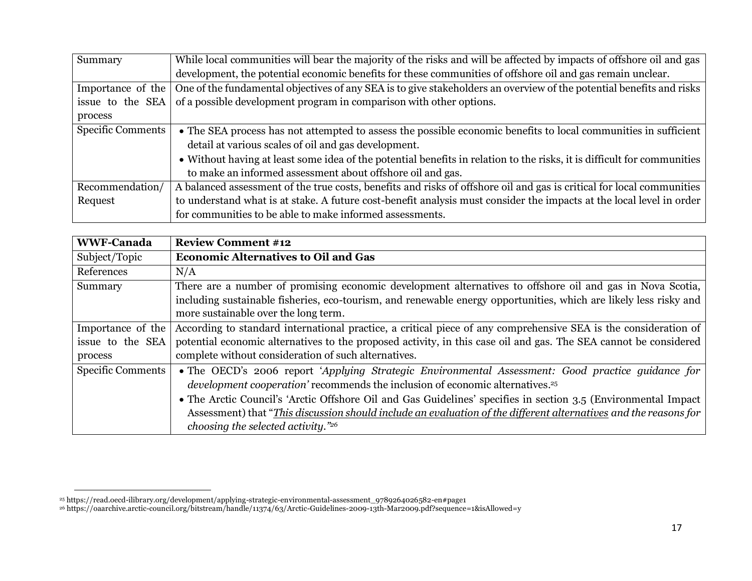| Summary                  | While local communities will bear the majority of the risks and will be affected by impacts of offshore oil and gas     |
|--------------------------|-------------------------------------------------------------------------------------------------------------------------|
|                          | development, the potential economic benefits for these communities of offshore oil and gas remain unclear.              |
| Importance of the        | One of the fundamental objectives of any SEA is to give stakeholders an overview of the potential benefits and risks    |
| issue to the SEA         | of a possible development program in comparison with other options.                                                     |
| process                  |                                                                                                                         |
| <b>Specific Comments</b> | • The SEA process has not attempted to assess the possible economic benefits to local communities in sufficient         |
|                          | detail at various scales of oil and gas development.                                                                    |
|                          | • Without having at least some idea of the potential benefits in relation to the risks, it is difficult for communities |
|                          | to make an informed assessment about offshore oil and gas.                                                              |
| Recommendation/          | A balanced assessment of the true costs, benefits and risks of offshore oil and gas is critical for local communities   |
| Request                  | to understand what is at stake. A future cost-benefit analysis must consider the impacts at the local level in order    |
|                          | for communities to be able to make informed assessments.                                                                |

| <b>WWF-Canada</b>                                | <b>Review Comment #12</b>                                                                                                                                                                                                                                                                                                                                                                                                                                                  |
|--------------------------------------------------|----------------------------------------------------------------------------------------------------------------------------------------------------------------------------------------------------------------------------------------------------------------------------------------------------------------------------------------------------------------------------------------------------------------------------------------------------------------------------|
| Subject/Topic                                    | <b>Economic Alternatives to Oil and Gas</b>                                                                                                                                                                                                                                                                                                                                                                                                                                |
| References                                       | N/A                                                                                                                                                                                                                                                                                                                                                                                                                                                                        |
| Summary                                          | There are a number of promising economic development alternatives to offshore oil and gas in Nova Scotia,<br>including sustainable fisheries, eco-tourism, and renewable energy opportunities, which are likely less risky and<br>more sustainable over the long term.                                                                                                                                                                                                     |
| Importance of the<br>issue to the SEA<br>process | According to standard international practice, a critical piece of any comprehensive SEA is the consideration of<br>potential economic alternatives to the proposed activity, in this case oil and gas. The SEA cannot be considered<br>complete without consideration of such alternatives.                                                                                                                                                                                |
| <b>Specific Comments</b>                         | • The OECD's 2006 report 'Applying Strategic Environmental Assessment: Good practice guidance for<br>development cooperation' recommends the inclusion of economic alternatives. <sup>25</sup><br>• The Arctic Council's 'Arctic Offshore Oil and Gas Guidelines' specifies in section 3.5 (Environmental Impact<br>Assessment) that "This discussion should include an evaluation of the different alternatives and the reasons for<br>choosing the selected activity."26 |

<sup>25</sup> https://read.oecd-ilibrary.org/development/applying-strategic-environmental-assessment\_9789264026582-en#page1

<sup>26</sup> https://oaarchive.arctic-council.org/bitstream/handle/11374/63/Arctic-Guidelines-2009-13th-Mar2009.pdf?sequence=1&isAllowed=y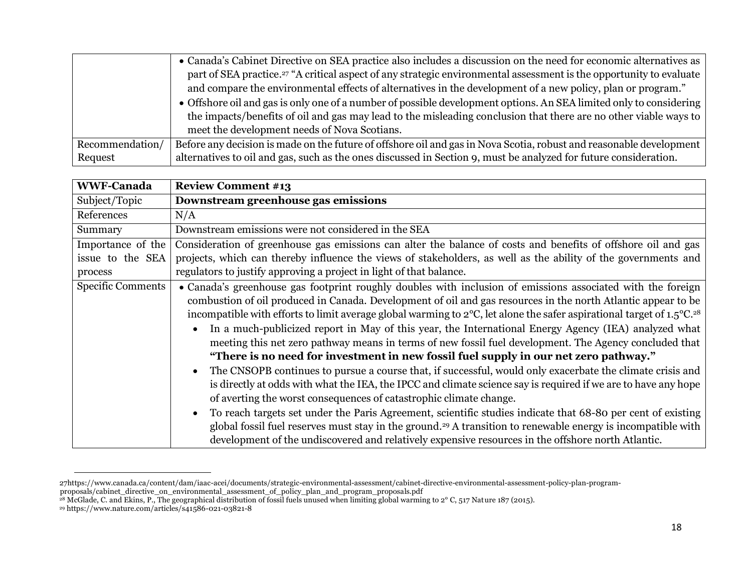|                 | • Canada's Cabinet Directive on SEA practice also includes a discussion on the need for economic alternatives as                |
|-----------------|---------------------------------------------------------------------------------------------------------------------------------|
|                 | part of SEA practice. <sup>27</sup> "A critical aspect of any strategic environmental assessment is the opportunity to evaluate |
|                 | and compare the environmental effects of alternatives in the development of a new policy, plan or program."                     |
|                 | • Offshore oil and gas is only one of a number of possible development options. An SEA limited only to considering              |
|                 | the impacts/benefits of oil and gas may lead to the misleading conclusion that there are no other viable ways to                |
|                 | meet the development needs of Nova Scotians.                                                                                    |
| Recommendation/ | Before any decision is made on the future of offshore oil and gas in Nova Scotia, robust and reasonable development             |
| Request         | alternatives to oil and gas, such as the ones discussed in Section 9, must be analyzed for future consideration.                |

| <b>WWF-Canada</b>        | <b>Review Comment #13</b>                                                                                                                                                                                                                                                                                                                                                                                                                                                                                                                                                                                                                                                                                                                                                                                                                                                                                                                                                                                                                                                                                                                                                                                                                                                                                                                      |
|--------------------------|------------------------------------------------------------------------------------------------------------------------------------------------------------------------------------------------------------------------------------------------------------------------------------------------------------------------------------------------------------------------------------------------------------------------------------------------------------------------------------------------------------------------------------------------------------------------------------------------------------------------------------------------------------------------------------------------------------------------------------------------------------------------------------------------------------------------------------------------------------------------------------------------------------------------------------------------------------------------------------------------------------------------------------------------------------------------------------------------------------------------------------------------------------------------------------------------------------------------------------------------------------------------------------------------------------------------------------------------|
| Subject/Topic            | Downstream greenhouse gas emissions                                                                                                                                                                                                                                                                                                                                                                                                                                                                                                                                                                                                                                                                                                                                                                                                                                                                                                                                                                                                                                                                                                                                                                                                                                                                                                            |
| References               | N/A                                                                                                                                                                                                                                                                                                                                                                                                                                                                                                                                                                                                                                                                                                                                                                                                                                                                                                                                                                                                                                                                                                                                                                                                                                                                                                                                            |
| Summary                  | Downstream emissions were not considered in the SEA                                                                                                                                                                                                                                                                                                                                                                                                                                                                                                                                                                                                                                                                                                                                                                                                                                                                                                                                                                                                                                                                                                                                                                                                                                                                                            |
| Importance of the        | Consideration of greenhouse gas emissions can alter the balance of costs and benefits of offshore oil and gas                                                                                                                                                                                                                                                                                                                                                                                                                                                                                                                                                                                                                                                                                                                                                                                                                                                                                                                                                                                                                                                                                                                                                                                                                                  |
| issue to the SEA         | projects, which can thereby influence the views of stakeholders, as well as the ability of the governments and                                                                                                                                                                                                                                                                                                                                                                                                                                                                                                                                                                                                                                                                                                                                                                                                                                                                                                                                                                                                                                                                                                                                                                                                                                 |
| process                  | regulators to justify approving a project in light of that balance.                                                                                                                                                                                                                                                                                                                                                                                                                                                                                                                                                                                                                                                                                                                                                                                                                                                                                                                                                                                                                                                                                                                                                                                                                                                                            |
| <b>Specific Comments</b> | • Canada's greenhouse gas footprint roughly doubles with inclusion of emissions associated with the foreign<br>combustion of oil produced in Canada. Development of oil and gas resources in the north Atlantic appear to be<br>incompatible with efforts to limit average global warming to 2°C, let alone the safer aspirational target of 1.5°C. <sup>28</sup><br>In a much-publicized report in May of this year, the International Energy Agency (IEA) analyzed what<br>meeting this net zero pathway means in terms of new fossil fuel development. The Agency concluded that<br>"There is no need for investment in new fossil fuel supply in our net zero pathway."<br>The CNSOPB continues to pursue a course that, if successful, would only exacerbate the climate crisis and<br>$\bullet$<br>is directly at odds with what the IEA, the IPCC and climate science say is required if we are to have any hope<br>of averting the worst consequences of catastrophic climate change.<br>To reach targets set under the Paris Agreement, scientific studies indicate that 68-80 per cent of existing<br>global fossil fuel reserves must stay in the ground. <sup>29</sup> A transition to renewable energy is incompatible with<br>development of the undiscovered and relatively expensive resources in the offshore north Atlantic. |

<sup>27</sup>https://www.canada.ca/content/dam/iaac-acei/documents/strategic-environmental-assessment/cabinet-directive-environmental-assessment-policy-plan-programproposals/cabinet\_directive\_on\_environmental\_assessment\_of\_policy\_plan\_and\_program\_proposals.pdf

<sup>&</sup>lt;sup>28</sup> McGlade, C. and Ekins, P., The geographical distribution of fossil fuels unused when limiting global warming to 2° C, 517 Nature 187 (2015).

<sup>29</sup> https://www.nature.com/articles/s41586-021-03821-8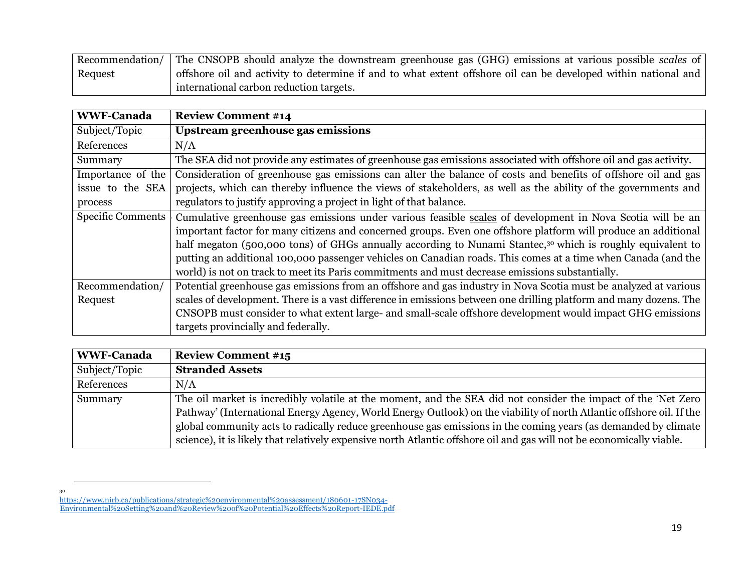Recommendation/ Request The CNSOPB should analyze the downstream greenhouse gas (GHG) emissions at various possible *scales* of offshore oil and activity to determine if and to what extent offshore oil can be developed within national and international carbon reduction targets.

| <b>WWF-Canada</b> | <b>Review Comment #14</b>                                                                                              |
|-------------------|------------------------------------------------------------------------------------------------------------------------|
| Subject/Topic     | Upstream greenhouse gas emissions                                                                                      |
| References        | N/A                                                                                                                    |
| Summary           | The SEA did not provide any estimates of greenhouse gas emissions associated with offshore oil and gas activity.       |
| Importance of the | Consideration of greenhouse gas emissions can alter the balance of costs and benefits of offshore oil and gas          |
| issue to the SEA  | projects, which can thereby influence the views of stakeholders, as well as the ability of the governments and         |
| process           | regulators to justify approving a project in light of that balance.                                                    |
| Specific Comments | Cumulative greenhouse gas emissions under various feasible scales of development in Nova Scotia will be an             |
|                   | important factor for many citizens and concerned groups. Even one offshore platform will produce an additional         |
|                   | half megaton (500,000 tons) of GHGs annually according to Nunami Stantec, <sup>30</sup> which is roughly equivalent to |
|                   | putting an additional 100,000 passenger vehicles on Canadian roads. This comes at a time when Canada (and the          |
|                   | world) is not on track to meet its Paris commitments and must decrease emissions substantially.                        |
| Recommendation/   | Potential greenhouse gas emissions from an offshore and gas industry in Nova Scotia must be analyzed at various        |
| Request           | scales of development. There is a vast difference in emissions between one drilling platform and many dozens. The      |
|                   | CNSOPB must consider to what extent large- and small-scale offshore development would impact GHG emissions             |
|                   | targets provincially and federally.                                                                                    |

| <b>WWF-Canada</b> | <b>Review Comment #15</b>                                                                                             |
|-------------------|-----------------------------------------------------------------------------------------------------------------------|
| Subject/Topic     | <b>Stranded Assets</b>                                                                                                |
| References        | N/A                                                                                                                   |
| Summary           | The oil market is incredibly volatile at the moment, and the SEA did not consider the impact of the 'Net Zero         |
|                   | Pathway' (International Energy Agency, World Energy Outlook) on the viability of north Atlantic offshore oil. If the  |
|                   | global community acts to radically reduce greenhouse gas emissions in the coming years (as demanded by climate        |
|                   | science), it is likely that relatively expensive north Atlantic offshore oil and gas will not be economically viable. |

30

[https://www.nirb.ca/publications/strategic%20environmental%20assessment/180601-17SN034-](https://www.nirb.ca/publications/strategic%20environmental%20assessment/180601-17SN034-Environmental%20Setting%20and%20Review%20of%20Potential%20Effects%20Report-IEDE.pdf)

[Environmental%20Setting%20and%20Review%20of%20Potential%20Effects%20Report-IEDE.pdf](https://www.nirb.ca/publications/strategic%20environmental%20assessment/180601-17SN034-Environmental%20Setting%20and%20Review%20of%20Potential%20Effects%20Report-IEDE.pdf)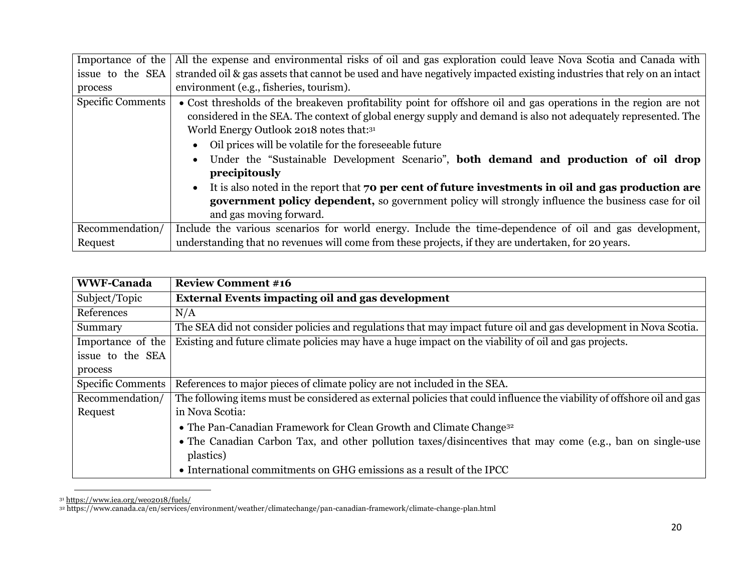| Importance of the        | All the expense and environmental risks of oil and gas exploration could leave Nova Scotia and Canada with                                                                                                                                                                                                                                                                                                                                                                                                                                                                                                                                                                                                                      |
|--------------------------|---------------------------------------------------------------------------------------------------------------------------------------------------------------------------------------------------------------------------------------------------------------------------------------------------------------------------------------------------------------------------------------------------------------------------------------------------------------------------------------------------------------------------------------------------------------------------------------------------------------------------------------------------------------------------------------------------------------------------------|
| issue to the SEA         | stranded oil & gas assets that cannot be used and have negatively impacted existing industries that rely on an intact                                                                                                                                                                                                                                                                                                                                                                                                                                                                                                                                                                                                           |
| process                  | environment (e.g., fisheries, tourism).                                                                                                                                                                                                                                                                                                                                                                                                                                                                                                                                                                                                                                                                                         |
| <b>Specific Comments</b> | • Cost thresholds of the breakeven profitability point for offshore oil and gas operations in the region are not<br>considered in the SEA. The context of global energy supply and demand is also not adequately represented. The<br>World Energy Outlook 2018 notes that:31<br>Oil prices will be volatile for the foreseeable future<br>$\bullet$<br>Under the "Sustainable Development Scenario", both demand and production of oil drop<br>$\bullet$<br>precipitously<br>It is also noted in the report that 70 per cent of future investments in oil and gas production are<br>$\bullet$<br>government policy dependent, so government policy will strongly influence the business case for oil<br>and gas moving forward. |
| Recommendation/          | Include the various scenarios for world energy. Include the time-dependence of oil and gas development,                                                                                                                                                                                                                                                                                                                                                                                                                                                                                                                                                                                                                         |
|                          |                                                                                                                                                                                                                                                                                                                                                                                                                                                                                                                                                                                                                                                                                                                                 |
| Request                  | understanding that no revenues will come from these projects, if they are undertaken, for 20 years.                                                                                                                                                                                                                                                                                                                                                                                                                                                                                                                                                                                                                             |

| <b>WWF-Canada</b> | <b>Review Comment #16</b>                                                                                              |
|-------------------|------------------------------------------------------------------------------------------------------------------------|
| Subject/Topic     | <b>External Events impacting oil and gas development</b>                                                               |
| References        | N/A                                                                                                                    |
| Summary           | The SEA did not consider policies and regulations that may impact future oil and gas development in Nova Scotia.       |
| Importance of the | Existing and future climate policies may have a huge impact on the viability of oil and gas projects.                  |
| issue to the SEA  |                                                                                                                        |
| process           |                                                                                                                        |
| Specific Comments | References to major pieces of climate policy are not included in the SEA.                                              |
| Recommendation/   | The following items must be considered as external policies that could influence the viability of offshore oil and gas |
| Request           | in Nova Scotia:                                                                                                        |
|                   | • The Pan-Canadian Framework for Clean Growth and Climate Change <sup>32</sup>                                         |
|                   | • The Canadian Carbon Tax, and other pollution taxes/disincentives that may come (e.g., ban on single-use<br>plastics) |
|                   | • International commitments on GHG emissions as a result of the IPCC                                                   |

<sup>31</sup> <https://www.iea.org/weo2018/fuels/>

<sup>32</sup> https://www.canada.ca/en/services/environment/weather/climatechange/pan-canadian-framework/climate-change-plan.html